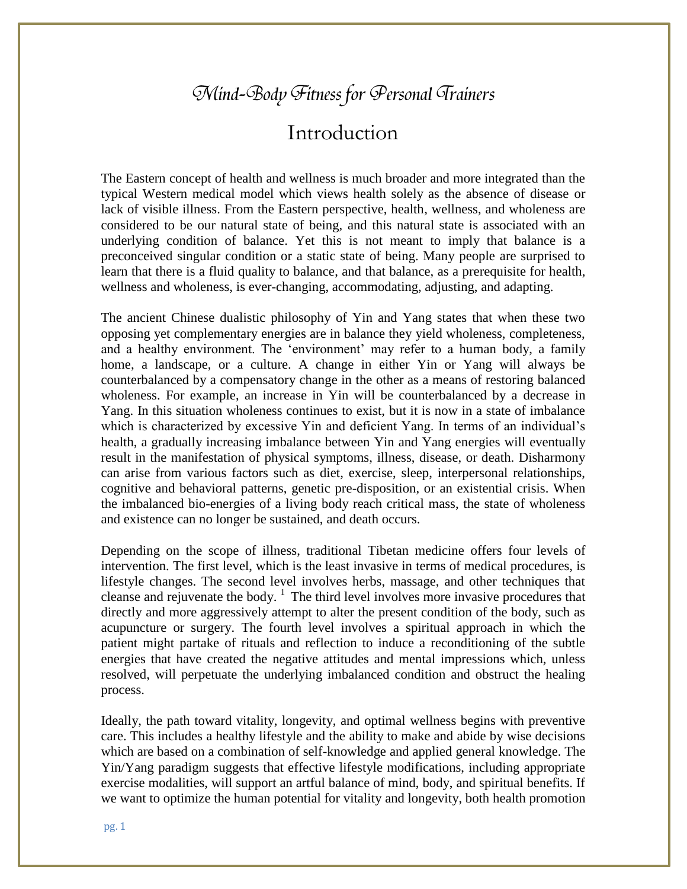## Mind-Body Fitness for Personal Trainers

## Introduction

The Eastern concept of health and wellness is much broader and more integrated than the typical Western medical model which views health solely as the absence of disease or lack of visible illness. From the Eastern perspective, health, wellness, and wholeness are considered to be our natural state of being, and this natural state is associated with an underlying condition of balance. Yet this is not meant to imply that balance is a preconceived singular condition or a static state of being. Many people are surprised to learn that there is a fluid quality to balance, and that balance, as a prerequisite for health, wellness and wholeness, is ever-changing, accommodating, adjusting, and adapting.

The ancient Chinese dualistic philosophy of Yin and Yang states that when these two opposing yet complementary energies are in balance they yield wholeness, completeness, and a healthy environment. The 'environment' may refer to a human body, a family home, a landscape, or a culture. A change in either Yin or Yang will always be counterbalanced by a compensatory change in the other as a means of restoring balanced wholeness. For example, an increase in Yin will be counterbalanced by a decrease in Yang. In this situation wholeness continues to exist, but it is now in a state of imbalance which is characterized by excessive Yin and deficient Yang. In terms of an individual's health, a gradually increasing imbalance between Yin and Yang energies will eventually result in the manifestation of physical symptoms, illness, disease, or death. Disharmony can arise from various factors such as diet, exercise, sleep, interpersonal relationships, cognitive and behavioral patterns, genetic pre-disposition, or an existential crisis. When the imbalanced bio-energies of a living body reach critical mass, the state of wholeness and existence can no longer be sustained, and death occurs.

Depending on the scope of illness, traditional Tibetan medicine offers four levels of intervention. The first level, which is the least invasive in terms of medical procedures, is lifestyle changes. The second level involves herbs, massage, and other techniques that cleanse and rejuvenate the body. 1 The third level involves more invasive procedures that directly and more aggressively attempt to alter the present condition of the body, such as acupuncture or surgery. The fourth level involves a spiritual approach in which the patient might partake of rituals and reflection to induce a reconditioning of the subtle energies that have created the negative attitudes and mental impressions which, unless resolved, will perpetuate the underlying imbalanced condition and obstruct the healing process.

Ideally, the path toward vitality, longevity, and optimal wellness begins with preventive care. This includes a healthy lifestyle and the ability to make and abide by wise decisions which are based on a combination of self-knowledge and applied general knowledge. The Yin/Yang paradigm suggests that effective lifestyle modifications, including appropriate exercise modalities, will support an artful balance of mind, body, and spiritual benefits. If we want to optimize the human potential for vitality and longevity, both health promotion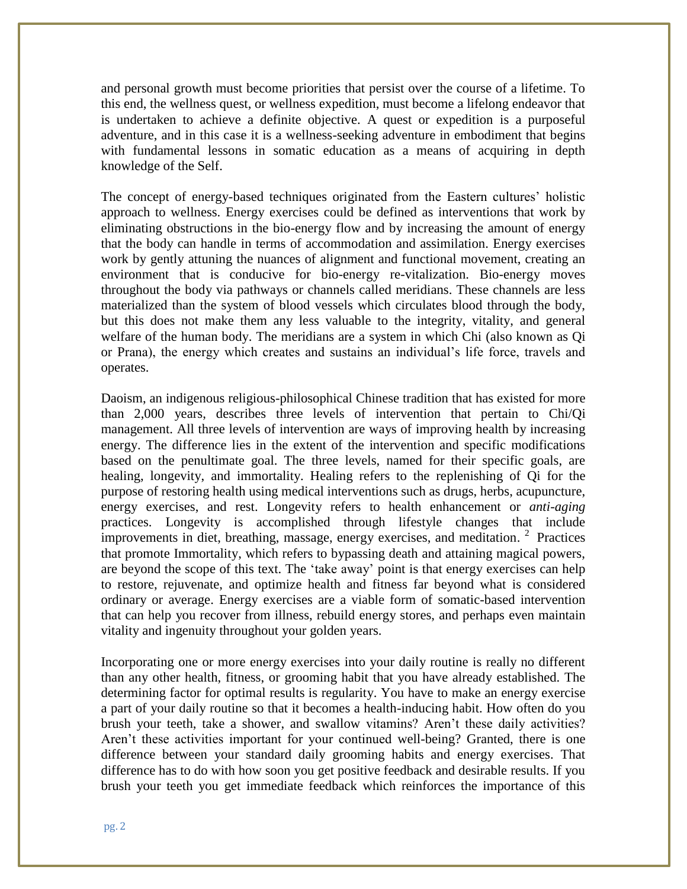and personal growth must become priorities that persist over the course of a lifetime. To this end, the wellness quest, or wellness expedition, must become a lifelong endeavor that is undertaken to achieve a definite objective. A quest or expedition is a purposeful adventure, and in this case it is a wellness-seeking adventure in embodiment that begins with fundamental lessons in somatic education as a means of acquiring in depth knowledge of the Self.

The concept of energy-based techniques originated from the Eastern cultures' holistic approach to wellness. Energy exercises could be defined as interventions that work by eliminating obstructions in the bio-energy flow and by increasing the amount of energy that the body can handle in terms of accommodation and assimilation. Energy exercises work by gently attuning the nuances of alignment and functional movement, creating an environment that is conducive for bio-energy re-vitalization. Bio-energy moves throughout the body via pathways or channels called meridians. These channels are less materialized than the system of blood vessels which circulates blood through the body, but this does not make them any less valuable to the integrity, vitality, and general welfare of the human body. The meridians are a system in which Chi (also known as Qi or Prana), the energy which creates and sustains an individual's life force, travels and operates.

Daoism, an indigenous religious-philosophical Chinese tradition that has existed for more than 2,000 years, describes three levels of intervention that pertain to Chi/Qi management. All three levels of intervention are ways of improving health by increasing energy. The difference lies in the extent of the intervention and specific modifications based on the penultimate goal. The three levels, named for their specific goals, are healing, longevity, and immortality. Healing refers to the replenishing of Qi for the purpose of restoring health using medical interventions such as drugs, herbs, acupuncture, energy exercises, and rest. Longevity refers to health enhancement or *anti-aging*  practices. Longevity is accomplished through lifestyle changes that include improvements in diet, breathing, massage, energy exercises, and meditation.<sup>2</sup> Practices that promote Immortality, which refers to bypassing death and attaining magical powers, are beyond the scope of this text. The 'take away' point is that energy exercises can help to restore, rejuvenate, and optimize health and fitness far beyond what is considered ordinary or average. Energy exercises are a viable form of somatic-based intervention that can help you recover from illness, rebuild energy stores, and perhaps even maintain vitality and ingenuity throughout your golden years.

Incorporating one or more energy exercises into your daily routine is really no different than any other health, fitness, or grooming habit that you have already established. The determining factor for optimal results is regularity. You have to make an energy exercise a part of your daily routine so that it becomes a health-inducing habit. How often do you brush your teeth, take a shower, and swallow vitamins? Aren't these daily activities? Aren't these activities important for your continued well-being? Granted, there is one difference between your standard daily grooming habits and energy exercises. That difference has to do with how soon you get positive feedback and desirable results. If you brush your teeth you get immediate feedback which reinforces the importance of this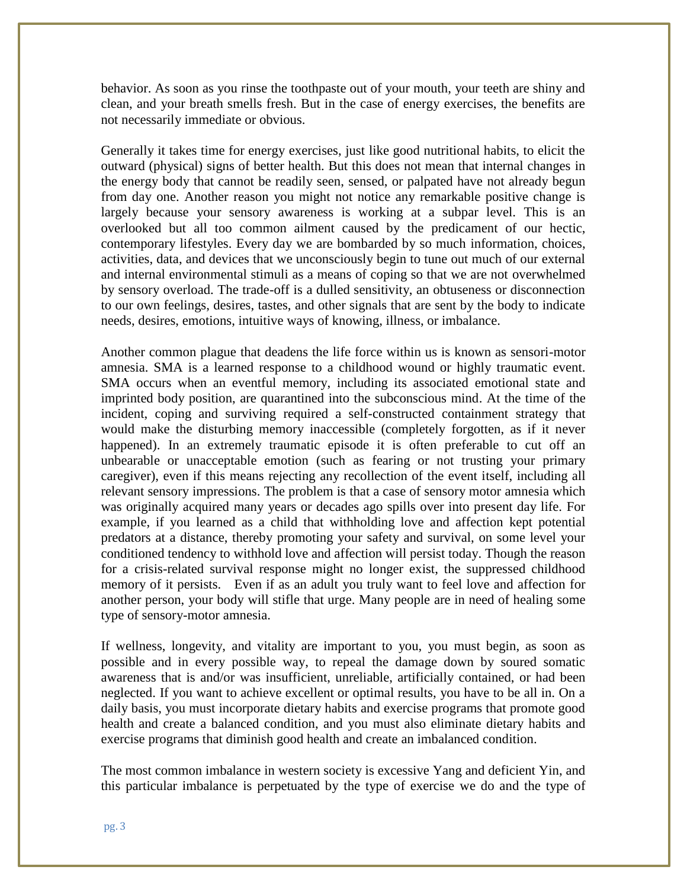behavior. As soon as you rinse the toothpaste out of your mouth, your teeth are shiny and clean, and your breath smells fresh. But in the case of energy exercises, the benefits are not necessarily immediate or obvious.

Generally it takes time for energy exercises, just like good nutritional habits, to elicit the outward (physical) signs of better health. But this does not mean that internal changes in the energy body that cannot be readily seen, sensed, or palpated have not already begun from day one. Another reason you might not notice any remarkable positive change is largely because your sensory awareness is working at a subpar level. This is an overlooked but all too common ailment caused by the predicament of our hectic, contemporary lifestyles. Every day we are bombarded by so much information, choices, activities, data, and devices that we unconsciously begin to tune out much of our external and internal environmental stimuli as a means of coping so that we are not overwhelmed by sensory overload. The trade-off is a dulled sensitivity, an obtuseness or disconnection to our own feelings, desires, tastes, and other signals that are sent by the body to indicate needs, desires, emotions, intuitive ways of knowing, illness, or imbalance.

Another common plague that deadens the life force within us is known as sensori-motor amnesia. SMA is a learned response to a childhood wound or highly traumatic event. SMA occurs when an eventful memory, including its associated emotional state and imprinted body position, are quarantined into the subconscious mind. At the time of the incident, coping and surviving required a self-constructed containment strategy that would make the disturbing memory inaccessible (completely forgotten, as if it never happened). In an extremely traumatic episode it is often preferable to cut off an unbearable or unacceptable emotion (such as fearing or not trusting your primary caregiver), even if this means rejecting any recollection of the event itself, including all relevant sensory impressions. The problem is that a case of sensory motor amnesia which was originally acquired many years or decades ago spills over into present day life. For example, if you learned as a child that withholding love and affection kept potential predators at a distance, thereby promoting your safety and survival, on some level your conditioned tendency to withhold love and affection will persist today. Though the reason for a crisis-related survival response might no longer exist, the suppressed childhood memory of it persists. Even if as an adult you truly want to feel love and affection for another person, your body will stifle that urge. Many people are in need of healing some type of sensory-motor amnesia.

If wellness, longevity, and vitality are important to you, you must begin, as soon as possible and in every possible way, to repeal the damage down by soured somatic awareness that is and/or was insufficient, unreliable, artificially contained, or had been neglected. If you want to achieve excellent or optimal results, you have to be all in. On a daily basis, you must incorporate dietary habits and exercise programs that promote good health and create a balanced condition, and you must also eliminate dietary habits and exercise programs that diminish good health and create an imbalanced condition.

The most common imbalance in western society is excessive Yang and deficient Yin, and this particular imbalance is perpetuated by the type of exercise we do and the type of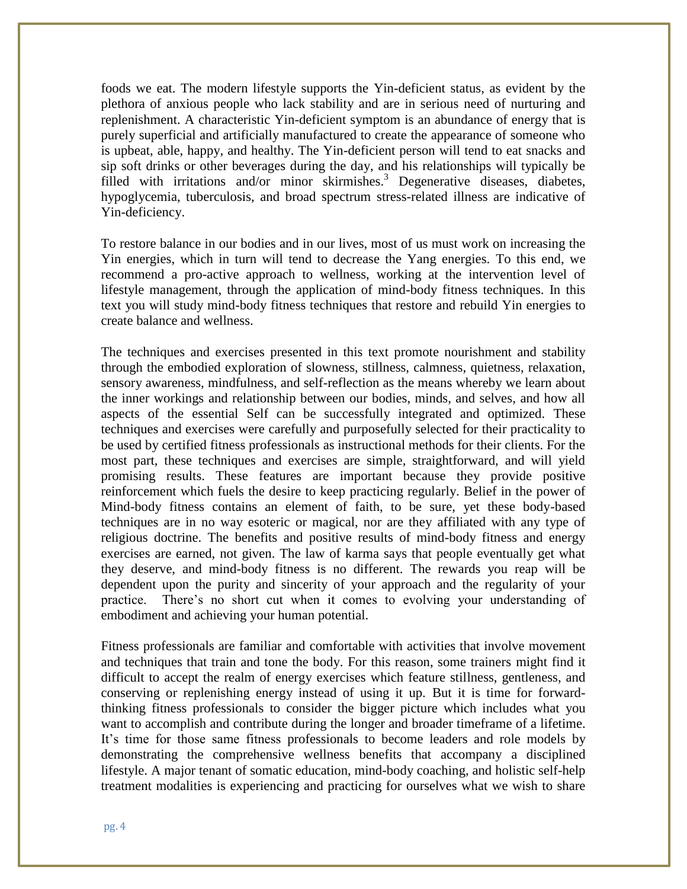foods we eat. The modern lifestyle supports the Yin-deficient status, as evident by the plethora of anxious people who lack stability and are in serious need of nurturing and replenishment. A characteristic Yin-deficient symptom is an abundance of energy that is purely superficial and artificially manufactured to create the appearance of someone who is upbeat, able, happy, and healthy. The Yin-deficient person will tend to eat snacks and sip soft drinks or other beverages during the day, and his relationships will typically be filled with irritations and/or minor skirmishes.<sup>3</sup> Degenerative diseases, diabetes, hypoglycemia, tuberculosis, and broad spectrum stress-related illness are indicative of Yin-deficiency.

To restore balance in our bodies and in our lives, most of us must work on increasing the Yin energies, which in turn will tend to decrease the Yang energies. To this end, we recommend a pro-active approach to wellness, working at the intervention level of lifestyle management, through the application of mind-body fitness techniques. In this text you will study mind-body fitness techniques that restore and rebuild Yin energies to create balance and wellness.

The techniques and exercises presented in this text promote nourishment and stability through the embodied exploration of slowness, stillness, calmness, quietness, relaxation, sensory awareness, mindfulness, and self-reflection as the means whereby we learn about the inner workings and relationship between our bodies, minds, and selves, and how all aspects of the essential Self can be successfully integrated and optimized. These techniques and exercises were carefully and purposefully selected for their practicality to be used by certified fitness professionals as instructional methods for their clients. For the most part, these techniques and exercises are simple, straightforward, and will yield promising results. These features are important because they provide positive reinforcement which fuels the desire to keep practicing regularly. Belief in the power of Mind-body fitness contains an element of faith, to be sure, yet these body-based techniques are in no way esoteric or magical, nor are they affiliated with any type of religious doctrine. The benefits and positive results of mind-body fitness and energy exercises are earned, not given. The law of karma says that people eventually get what they deserve, and mind-body fitness is no different. The rewards you reap will be dependent upon the purity and sincerity of your approach and the regularity of your practice. There's no short cut when it comes to evolving your understanding of embodiment and achieving your human potential.

Fitness professionals are familiar and comfortable with activities that involve movement and techniques that train and tone the body. For this reason, some trainers might find it difficult to accept the realm of energy exercises which feature stillness, gentleness, and conserving or replenishing energy instead of using it up. But it is time for forwardthinking fitness professionals to consider the bigger picture which includes what you want to accomplish and contribute during the longer and broader timeframe of a lifetime. It's time for those same fitness professionals to become leaders and role models by demonstrating the comprehensive wellness benefits that accompany a disciplined lifestyle. A major tenant of somatic education, mind-body coaching, and holistic self-help treatment modalities is experiencing and practicing for ourselves what we wish to share